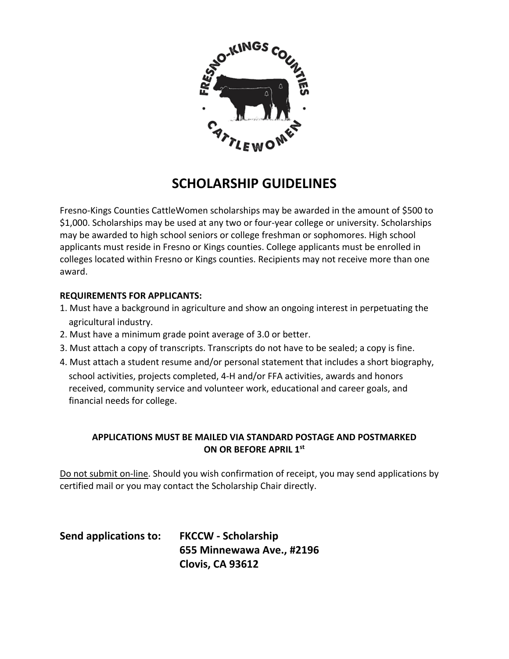

## **SCHOLARSHIP GUIDELINES**

Fresno-Kings Counties CattleWomen scholarships may be awarded in the amount of \$500 to \$1,000. Scholarships may be used at any two or four-year college or university. Scholarships may be awarded to high school seniors or college freshman or sophomores. High school applicants must reside in Fresno or Kings counties. College applicants must be enrolled in colleges located within Fresno or Kings counties. Recipients may not receive more than one award.

## **REQUIREMENTS FOR APPLICANTS:**

- 1. Must have a background in agriculture and show an ongoing interest in perpetuating the agricultural industry.
- 2. Must have a minimum grade point average of 3.0 or better.
- 3. Must attach a copy of transcripts. Transcripts do not have to be sealed; a copy is fine.
- 4. Must attach a student resume and/or personal statement that includes a short biography, school activities, projects completed, 4-H and/or FFA activities, awards and honors received, community service and volunteer work, educational and career goals, and financial needs for college.

## **APPLICATIONS MUST BE MAILED VIA STANDARD POSTAGE AND POSTMARKED ON OR BEFORE APRIL 1st**

Do not submit on-line. Should you wish confirmation of receipt, you may send applications by certified mail or you may contact the Scholarship Chair directly.

| Send applications to: | <b>FKCCW - Scholarship</b> |
|-----------------------|----------------------------|
|                       | 655 Minnewawa Ave., #2196  |
|                       | Clovis, CA 93612           |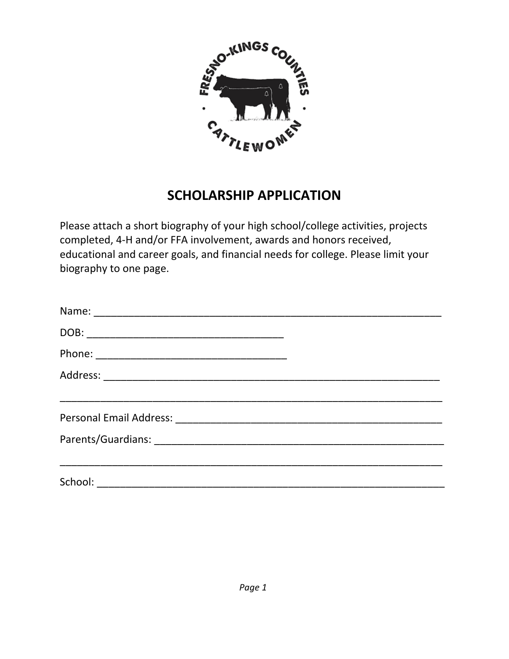

## **SCHOLARSHIP APPLICATION**

Please attach a short biography of your high school/college activities, projects completed, 4-H and/or FFA involvement, awards and honors received, educational and career goals, and financial needs for college. Please limit your biography to one page.

| <u> 1989 - Johann John Stoff, deutscher Stoffen und der Stoffen und der Stoffen und der Stoffen und der Stoffen u</u> |  |
|-----------------------------------------------------------------------------------------------------------------------|--|
|                                                                                                                       |  |